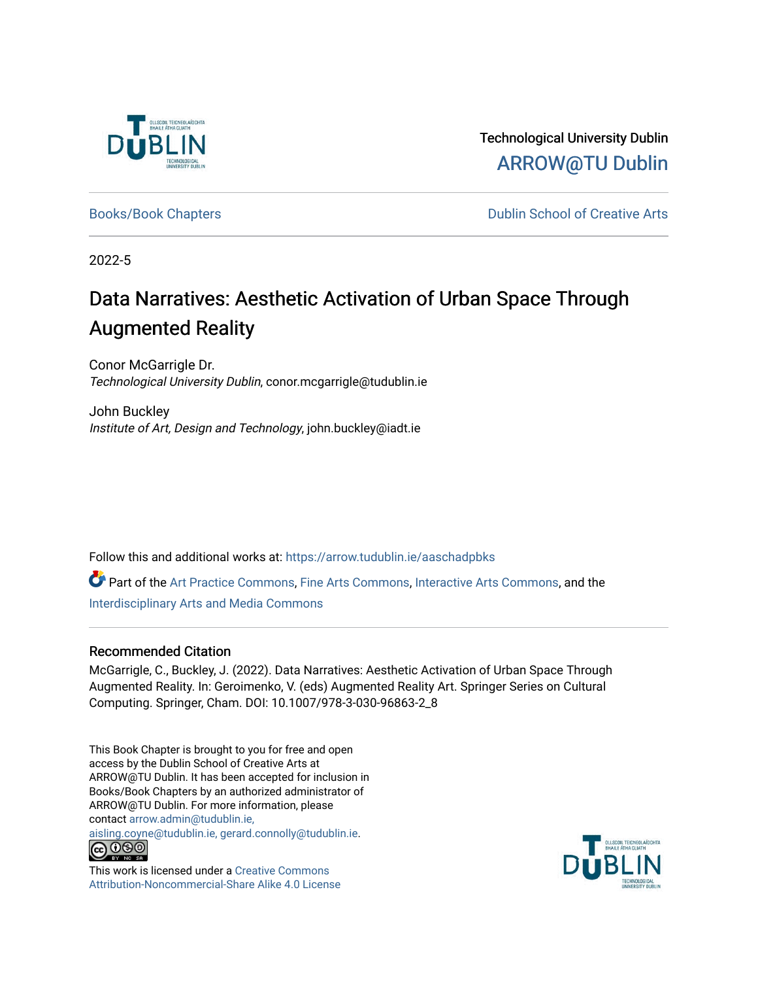

Technological University Dublin [ARROW@TU Dublin](https://arrow.tudublin.ie/) 

[Books/Book Chapters](https://arrow.tudublin.ie/aaschadpbks) **Dublin School of Creative Arts** 

2022-5

# Data Narratives: Aesthetic Activation of Urban Space Through Augmented Reality

Conor McGarrigle Dr. Technological University Dublin, conor.mcgarrigle@tudublin.ie

John Buckley Institute of Art, Design and Technology, john.buckley@iadt.ie

Follow this and additional works at: [https://arrow.tudublin.ie/aaschadpbks](https://arrow.tudublin.ie/aaschadpbks?utm_source=arrow.tudublin.ie%2Faaschadpbks%2F13&utm_medium=PDF&utm_campaign=PDFCoverPages)

Part of the [Art Practice Commons](https://network.bepress.com/hgg/discipline/509?utm_source=arrow.tudublin.ie%2Faaschadpbks%2F13&utm_medium=PDF&utm_campaign=PDFCoverPages), [Fine Arts Commons,](https://network.bepress.com/hgg/discipline/1141?utm_source=arrow.tudublin.ie%2Faaschadpbks%2F13&utm_medium=PDF&utm_campaign=PDFCoverPages) [Interactive Arts Commons](https://network.bepress.com/hgg/discipline/1136?utm_source=arrow.tudublin.ie%2Faaschadpbks%2F13&utm_medium=PDF&utm_campaign=PDFCoverPages), and the [Interdisciplinary Arts and Media Commons](https://network.bepress.com/hgg/discipline/1137?utm_source=arrow.tudublin.ie%2Faaschadpbks%2F13&utm_medium=PDF&utm_campaign=PDFCoverPages)

# Recommended Citation

McGarrigle, C., Buckley, J. (2022). Data Narratives: Aesthetic Activation of Urban Space Through Augmented Reality. In: Geroimenko, V. (eds) Augmented Reality Art. Springer Series on Cultural Computing. Springer, Cham. DOI: 10.1007/978-3-030-96863-2\_8

This Book Chapter is brought to you for free and open access by the Dublin School of Creative Arts at ARROW@TU Dublin. It has been accepted for inclusion in Books/Book Chapters by an authorized administrator of ARROW@TU Dublin. For more information, please contact [arrow.admin@tudublin.ie,](mailto:arrow.admin@tudublin.ie,%20aisling.coyne@tudublin.ie,%20gerard.connolly@tudublin.ie) 

[aisling.coyne@tudublin.ie, gerard.connolly@tudublin.ie](mailto:arrow.admin@tudublin.ie,%20aisling.coyne@tudublin.ie,%20gerard.connolly@tudublin.ie).



This work is licensed under a [Creative Commons](http://creativecommons.org/licenses/by-nc-sa/4.0/) [Attribution-Noncommercial-Share Alike 4.0 License](http://creativecommons.org/licenses/by-nc-sa/4.0/)

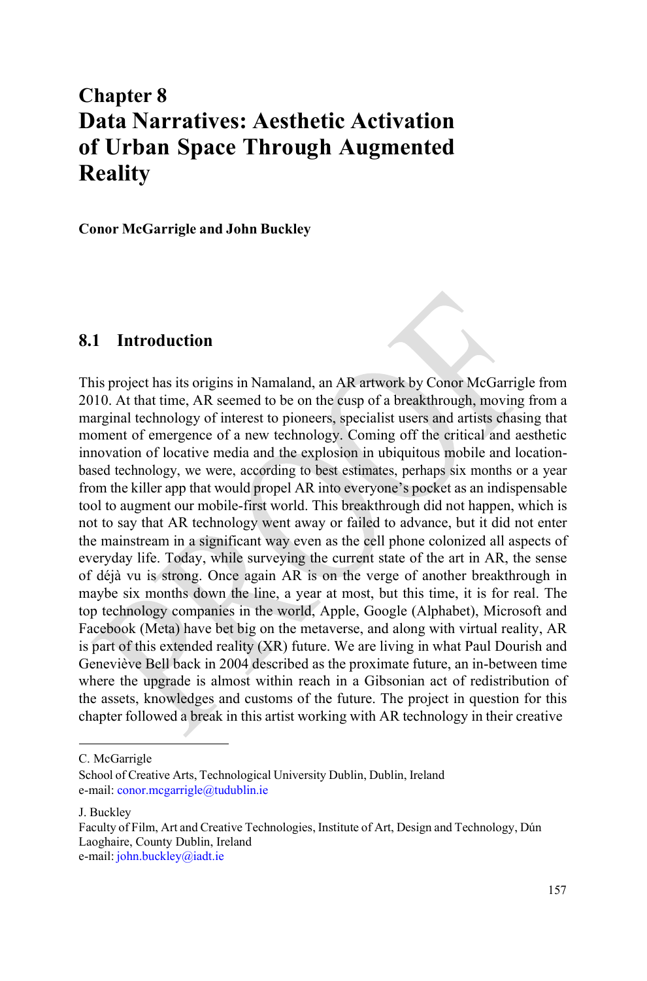# **Chapter 8 Data Narratives: Aesthetic Activation of Urban Space Through Augmented Reality**

**Conor McGarrigle and John Buckley**

#### **8.1 Introduction**

This project has its origins in Namaland, an AR artwork by Conor McGarrigle from 2010. At that time, AR seemed to be on the cusp of a breakthrough, moving from a marginal technology of interest to pioneers, specialist users and artists chasing that moment of emergence of a new technology. Coming off the critical and aesthetic innovation of locative media and the explosion in ubiquitous mobile and locationbased technology, we were, according to best estimates, perhaps six months or a year from the killer app that would propel AR into everyone's pocket as an indispensable tool to augment our mobile-first world. This breakthrough did not happen, which is not to say that AR technology went away or failed to advance, but it did not enter the mainstream in a significant way even as the cell phone colonized all aspects of everyday life. Today, while surveying the current state of the art in AR, the sense of déjà vu is strong. Once again AR is on the verge of another breakthrough in maybe six months down the line, a year at most, but this time, it is for real. The top technology companies in the world, Apple, Google (Alphabet), Microsoft and Facebook (Meta) have bet big on the metaverse, and along with virtual reality, AR is part of this extended reality (XR) future. We are living in what Paul Dourish and Geneviève Bell back in 2004 described as the proximate future, an in-between time where the upgrade is almost within reach in a Gibsonian act of redistribution of the assets, knowledges and customs of the future. The project in question for this chapter followed a break in this artist working with AR technology in their creative

C. McGarrigle

J. Buckley

School of Creative Arts, Technological University Dublin, Dublin, Ireland e-mail: [conor.mcgarrigle@tudublin.ie](mailto:conor.mcgarrigle@tudublin.ie)

Faculty of Film, Art and Creative Technologies, Institute of Art, Design and Technology, Dún Laoghaire, County Dublin, Ireland e-mail: [john.buckley@iadt.ie](mailto:john.buckley@iadt.ie)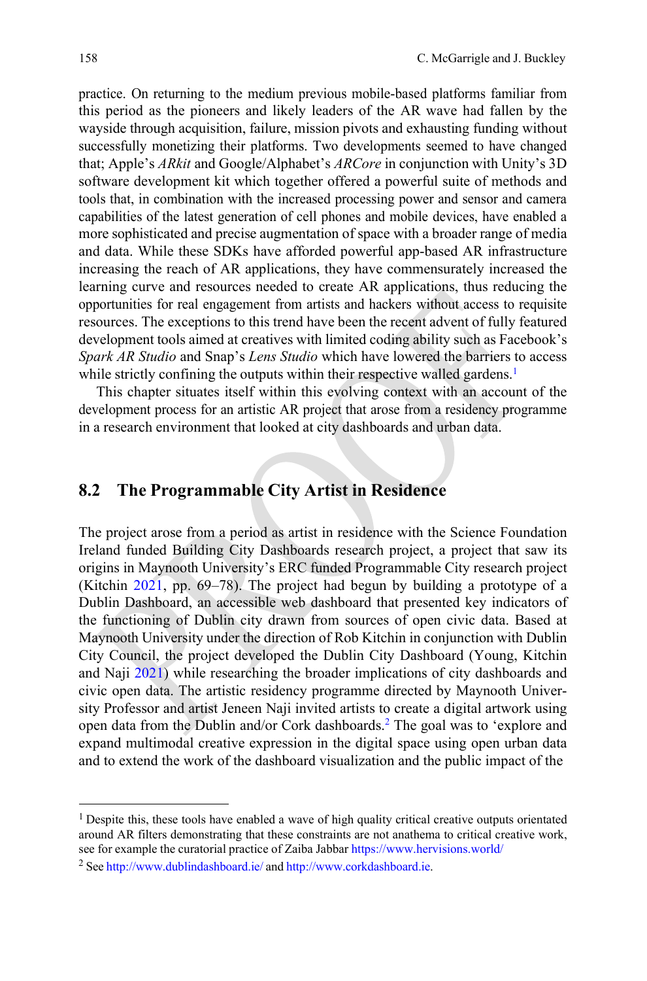practice. On returning to the medium previous mobile-based platforms familiar from this period as the pioneers and likely leaders of the AR wave had fallen by the wayside through acquisition, failure, mission pivots and exhausting funding without successfully monetizing their platforms. Two developments seemed to have changed that; Apple's *ARkit* and Google/Alphabet's *ARCore* in conjunction with Unity's 3D software development kit which together offered a powerful suite of methods and tools that, in combination with the increased processing power and sensor and camera capabilities of the latest generation of cell phones and mobile devices, have enabled a more sophisticated and precise augmentation of space with a broader range of media and data. While these SDKs have afforded powerful app-based AR infrastructure increasing the reach of AR applications, they have commensurately increased the learning curve and resources needed to create AR applications, thus reducing the opportunities for real engagement from artists and hackers without access to requisite resources. The exceptions to this trend have been the recent advent of fully featured development tools aimed at creatives with limited coding ability such as Facebook's *Spark AR Studio* and Snap's *Lens Studio* which have lowered the barriers to access while strictly confining the outputs within their respective walled gardens.<sup>1</sup>

This chapter situates itself within this evolving context with an account of the development process for an artistic AR project that arose from a residency programme in a research environment that looked at city dashboards and urban data.

### **8.2 The Programmable City Artist in Residence**

The project arose from a period as artist in residence with the Science Foundation Ireland funded Building City Dashboards research project, a project that saw its origins in Maynooth University's ERC funded Programmable City research project (Kitchin [2021,](#page-14-0) pp. 69–78). The project had begun by building a prototype of a Dublin Dashboard, an accessible web dashboard that presented key indicators of the functioning of Dublin city drawn from sources of open civic data. Based at Maynooth University under the direction of Rob Kitchin in conjunction with Dublin City Council, the project developed the Dublin City Dashboard (Young, Kitchin and Naji [2021\)](#page-14-1) while researching the broader implications of city dashboards and civic open data. The artistic residency programme directed by Maynooth University Professor and artist Jeneen Naji invited artists to create a digital artwork using open data from the Dublin and/or Cork dashboard[s.2](#page-2-1) The goal was to 'explore and expand multimodal creative expression in the digital space using open urban data and to extend the work of the dashboard visualization and the public impact of the

<span id="page-2-1"></span><span id="page-2-0"></span><sup>&</sup>lt;sup>1</sup> Despite this, these tools have enabled a wave of high quality critical creative outputs orientated around AR filters demonstrating that these constraints are not anathema to critical creative work, see for example the curatorial practice of Zaiba Jabbar <https://www.hervisions.world/>

<sup>&</sup>lt;sup>2</sup> See <http://www.dublindashboard.ie/> and [http://www.corkdashboard.ie.](http://www.corkdashboard.ie/)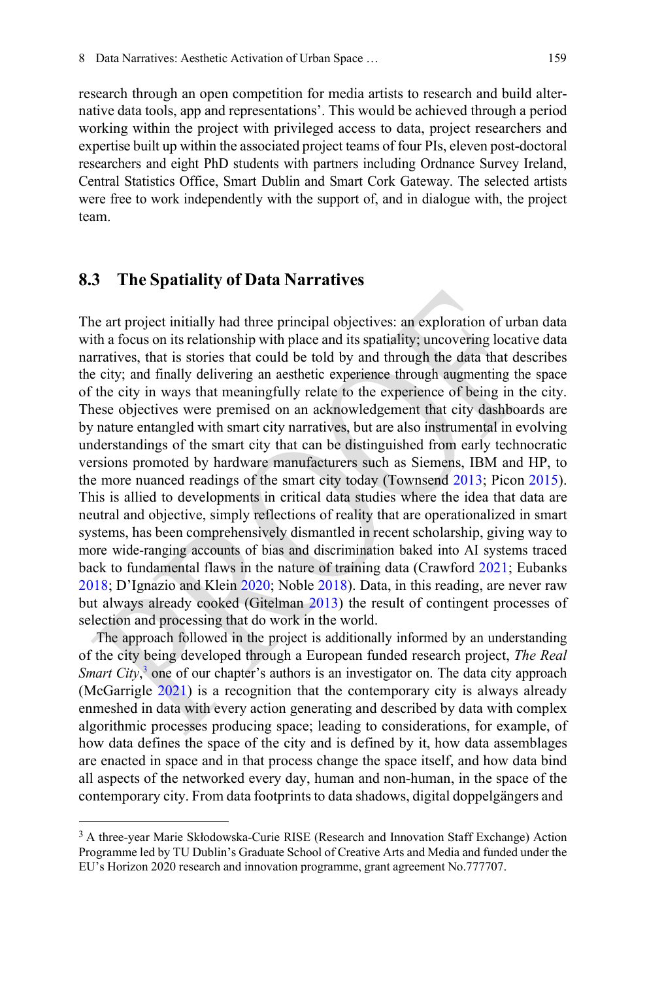research through an open competition for media artists to research and build alternative data tools, app and representations'. This would be achieved through a period working within the project with privileged access to data, project researchers and expertise built up within the associated project teams of four PIs, eleven post-doctoral researchers and eight PhD students with partners including Ordnance Survey Ireland, Central Statistics Office, Smart Dublin and Smart Cork Gateway. The selected artists were free to work independently with the support of, and in dialogue with, the project team.

### **8.3 The Spatiality of Data Narratives**

The art project initially had three principal objectives: an exploration of urban data with a focus on its relationship with place and its spatiality; uncovering locative data narratives, that is stories that could be told by and through the data that describes the city; and finally delivering an aesthetic experience through augmenting the space of the city in ways that meaningfully relate to the experience of being in the city. These objectives were premised on an acknowledgement that city dashboards are by nature entangled with smart city narratives, but are also instrumental in evolving understandings of the smart city that can be distinguished from early technocratic versions promoted by hardware manufacturers such as Siemens, IBM and HP, to the more nuanced readings of the smart city today (Townsend [2013;](#page-14-2) Picon [2015\)](#page-14-3). This is allied to developments in critical data studies where the idea that data are neutral and objective, simply reflections of reality that are operationalized in smart systems, has been comprehensively dismantled in recent scholarship, giving way to more wide-ranging accounts of bias and discrimination baked into AI systems traced back to fundamental flaws in the nature of training data (Crawford [2021;](#page-14-4) Eubanks [2018;](#page-14-5) D'Ignazio and Klein [2020;](#page-14-6) Noble [2018\)](#page-14-7). Data, in this reading, are never raw but always already cooked (Gitelman [2013\)](#page-14-8) the result of contingent processes of selection and processing that do work in the world.

The approach followed in the project is additionally informed by an understanding of the city being developed through a European funded research project, *The Real Smart City*[,](#page-3-0) <sup>3</sup> one of our chapter's authors is an investigator on. The data city approach (McGarrigle [2021\)](#page-14-9) is a recognition that the contemporary city is always already enmeshed in data with every action generating and described by data with complex algorithmic processes producing space; leading to considerations, for example, of how data defines the space of the city and is defined by it, how data assemblages are enacted in space and in that process change the space itself, and how data bind all aspects of the networked every day, human and non-human, in the space of the contemporary city. From data footprints to data shadows, digital doppelgängers and

<span id="page-3-0"></span><sup>&</sup>lt;sup>3</sup> A three-year Marie Skłodowska-Curie RISE (Research and Innovation Staff Exchange) Action Programme led by TU Dublin's Graduate School of Creative Arts and Media and funded under the EU's Horizon 2020 research and innovation programme, grant agreement No.777707.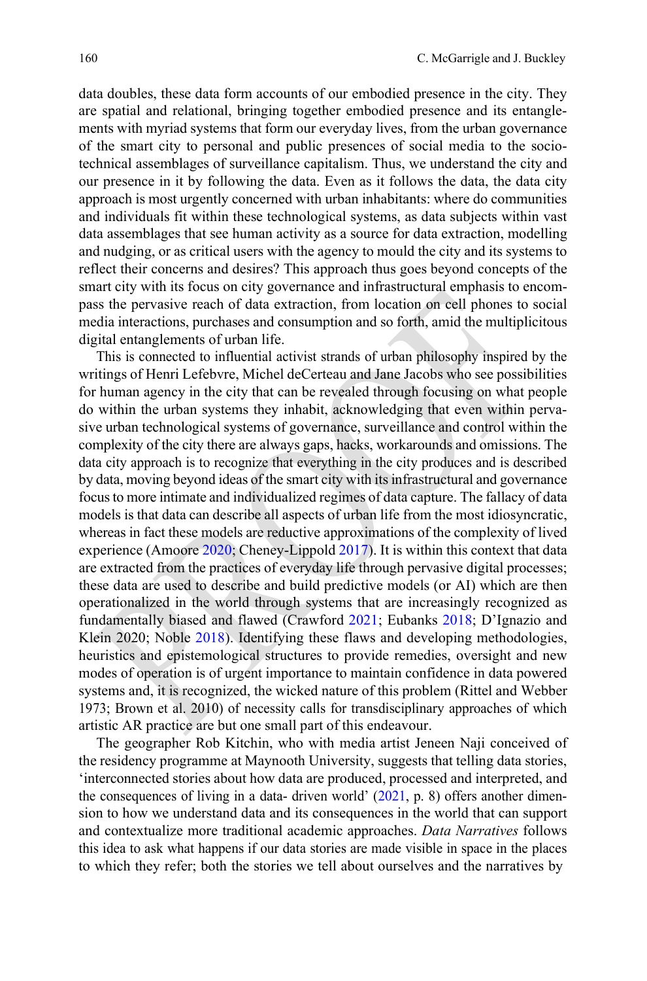data doubles, these data form accounts of our embodied presence in the city. They are spatial and relational, bringing together embodied presence and its entanglements with myriad systems that form our everyday lives, from the urban governance of the smart city to personal and public presences of social media to the sociotechnical assemblages of surveillance capitalism. Thus, we understand the city and our presence in it by following the data. Even as it follows the data, the data city approach is most urgently concerned with urban inhabitants: where do communities and individuals fit within these technological systems, as data subjects within vast data assemblages that see human activity as a source for data extraction, modelling and nudging, or as critical users with the agency to mould the city and its systems to reflect their concerns and desires? This approach thus goes beyond concepts of the smart city with its focus on city governance and infrastructural emphasis to encompass the pervasive reach of data extraction, from location on cell phones to social media interactions, purchases and consumption and so forth, amid the multiplicitous digital entanglements of urban life.

This is connected to influential activist strands of urban philosophy inspired by the writings of Henri Lefebvre, Michel deCerteau and Jane Jacobs who see possibilities for human agency in the city that can be revealed through focusing on what people do within the urban systems they inhabit, acknowledging that even within pervasive urban technological systems of governance, surveillance and control within the complexity of the city there are always gaps, hacks, workarounds and omissions. The data city approach is to recognize that everything in the city produces and is described by data, moving beyond ideas of the smart city with itsinfrastructural and governance focus to more intimate and individualized regimes of data capture. The fallacy of data models is that data can describe all aspects of urban life from the most idiosyncratic, whereas in fact these models are reductive approximations of the complexity of lived experience (Amoore [2020;](#page-14-10) Cheney-Lippold [2017\)](#page-14-11). It is within this context that data are extracted from the practices of everyday life through pervasive digital processes; these data are used to describe and build predictive models (or AI) which are then operationalized in the world through systems that are increasingly recognized as fundamentally biased and flawed (Crawford [2021;](#page-14-4) Eubanks [2018;](#page-14-5) D'Ignazio and Klein 2020; Noble [2018\)](#page-14-7). Identifying these flaws and developing methodologies, heuristics and epistemological structures to provide remedies, oversight and new modes of operation is of urgent importance to maintain confidence in data powered systems and, it is recognized, the wicked nature of this problem (Rittel and Webber 1973; Brown et al. 2010) of necessity calls for transdisciplinary approaches of which artistic AR practice are but one small part of this endeavour.

The geographer Rob Kitchin, who with media artist Jeneen Naji conceived of the residency programme at Maynooth University, suggests that telling data stories, 'interconnected stories about how data are produced, processed and interpreted, and the consequences of living in a data- driven world' [\(2021,](#page-14-0) p. 8) offers another dimension to how we understand data and its consequences in the world that can support and contextualize more traditional academic approaches. *Data Narratives* follows this idea to ask what happens if our data stories are made visible in space in the places to which they refer; both the stories we tell about ourselves and the narratives by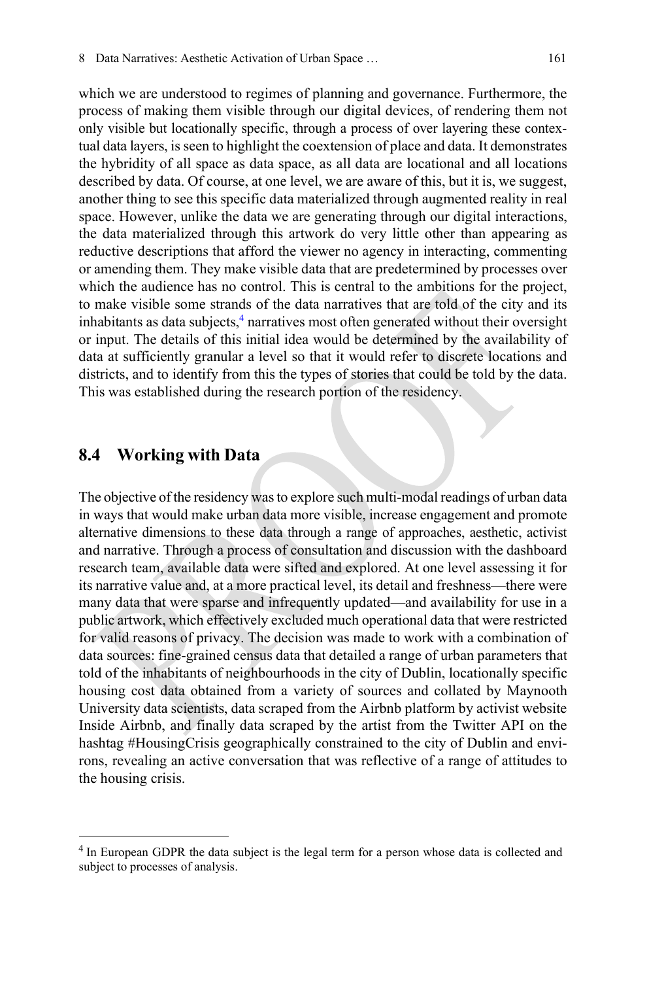which we are understood to regimes of planning and governance. Furthermore, the process of making them visible through our digital devices, of rendering them not only visible but locationally specific, through a process of over layering these contextual data layers, is seen to highlight the coextension of place and data. It demonstrates the hybridity of all space as data space, as all data are locational and all locations described by data. Of course, at one level, we are aware of this, but it is, we suggest, another thing to see this specific data materialized through augmented reality in real space. However, unlike the data we are generating through our digital interactions, the data materialized through this artwork do very little other than appearing as reductive descriptions that afford the viewer no agency in interacting, commenting or amending them. They make visible data that are predetermined by processes over which the audience has no control. This is central to the ambitions for the project, to make visible some strands of the data narratives that are told of the city and its inhabitants as data subjects, $\frac{4}{3}$  narratives most often generated without their oversight or input. The details of this initial idea would be determined by the availability of data at sufficiently granular a level so that it would refer to discrete locations and districts, and to identify from this the types of stories that could be told by the data. This was established during the research portion of the residency.

#### **8.4 Working with Data**

The objective of the residency was to explore such multi-modal readings of urban data in ways that would make urban data more visible, increase engagement and promote alternative dimensions to these data through a range of approaches, aesthetic, activist and narrative. Through a process of consultation and discussion with the dashboard research team, available data were sifted and explored. At one level assessing it for its narrative value and, at a more practical level, its detail and freshness—there were many data that were sparse and infrequently updated—and availability for use in a public artwork, which effectively excluded much operational data that were restricted for valid reasons of privacy. The decision was made to work with a combination of data sources: fine-grained census data that detailed a range of urban parameters that told of the inhabitants of neighbourhoods in the city of Dublin, locationally specific housing cost data obtained from a variety of sources and collated by Maynooth University data scientists, data scraped from the Airbnb platform by activist website Inside Airbnb, and finally data scraped by the artist from the Twitter API on the hashtag #HousingCrisis geographically constrained to the city of Dublin and environs, revealing an active conversation that was reflective of a range of attitudes to the housing crisis.

<span id="page-5-0"></span><sup>4</sup> In European GDPR the data subject is the legal term for a person whose data is collected and subject to processes of analysis.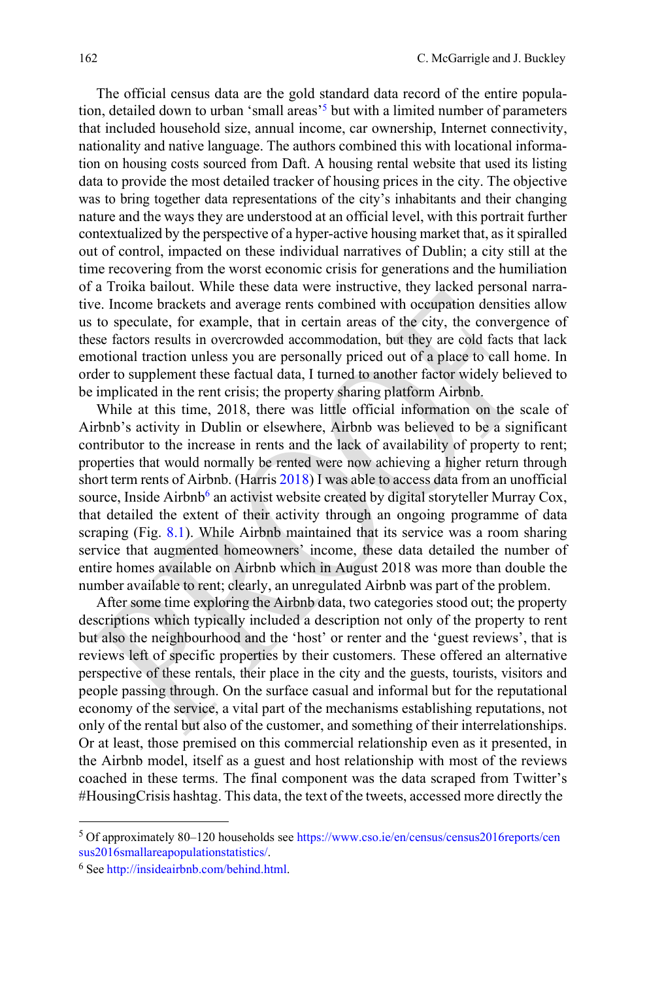The official census data are the gold standard data record of the entire population, detailed down to urban 'small areas'<sup>5</sup> but with a limited number of parameters that included household size, annual income, car ownership, Internet connectivity, nationality and native language. The authors combined this with locational information on housing costs sourced from Daft. A housing rental website that used its listing data to provide the most detailed tracker of housing prices in the city. The objective was to bring together data representations of the city's inhabitants and their changing nature and the ways they are understood at an official level, with this portrait further contextualized by the perspective of a hyper-active housing market that, as it spiralled out of control, impacted on these individual narratives of Dublin; a city still at the time recovering from the worst economic crisis for generations and the humiliation of a Troika bailout. While these data were instructive, they lacked personal narrative. Income brackets and average rents combined with occupation densities allow us to speculate, for example, that in certain areas of the city, the convergence of these factors results in overcrowded accommodation, but they are cold facts that lack emotional traction unless you are personally priced out of a place to call home. In order to supplement these factual data, I turned to another factor widely believed to be implicated in the rent crisis; the property sharing platform Airbnb.

While at this time, 2018, there was little official information on the scale of Airbnb's activity in Dublin or elsewhere, Airbnb was believed to be a significant contributor to the increase in rents and the lack of availability of property to rent; properties that would normally be rented were now achieving a higher return through short term rents of Airbnb. (Harris [2018\)](#page-14-12) I was able to access data from an unofficial source, Inside Airbnb<sup>6</sup> an activist website created by digital storyteller Murray Cox, that detailed the extent of their activity through an ongoing programme of data scraping (Fig. [8.1\)](#page-7-0). While Airbnb maintained that its service was a room sharing service that augmented homeowners' income, these data detailed the number of entire homes available on Airbnb which in August 2018 was more than double the number available to rent; clearly, an unregulated Airbnb was part of the problem.

After some time exploring the Airbnb data, two categories stood out; the property descriptions which typically included a description not only of the property to rent but also the neighbourhood and the 'host' or renter and the 'guest reviews', that is reviews left of specific properties by their customers. These offered an alternative perspective of these rentals, their place in the city and the guests, tourists, visitors and people passing through. On the surface casual and informal but for the reputational economy of the service, a vital part of the mechanisms establishing reputations, not only of the rental but also of the customer, and something of their interrelationships. Or at least, those premised on this commercial relationship even as it presented, in the Airbnb model, itself as a guest and host relationship with most of the reviews coached in these terms. The final component was the data scraped from Twitter's #HousingCrisis hashtag. This data, the text of the tweets, accessed more directly the

<span id="page-6-1"></span><span id="page-6-0"></span><sup>5</sup> Of approximately 80–120 households [see https://www.cso.ie/en/census/census2016reports/cen](https://www.cso.ie/en/census/census2016reports/census2016smallareapopulationstatistics/) [sus2016smallareapopulationstatistics/.](https://www.cso.ie/en/census/census2016reports/census2016smallareapopulationstatistics/)

<sup>6</sup> See [http://insideairbnb.com/behind.html.](http://insideairbnb.com/behind.html)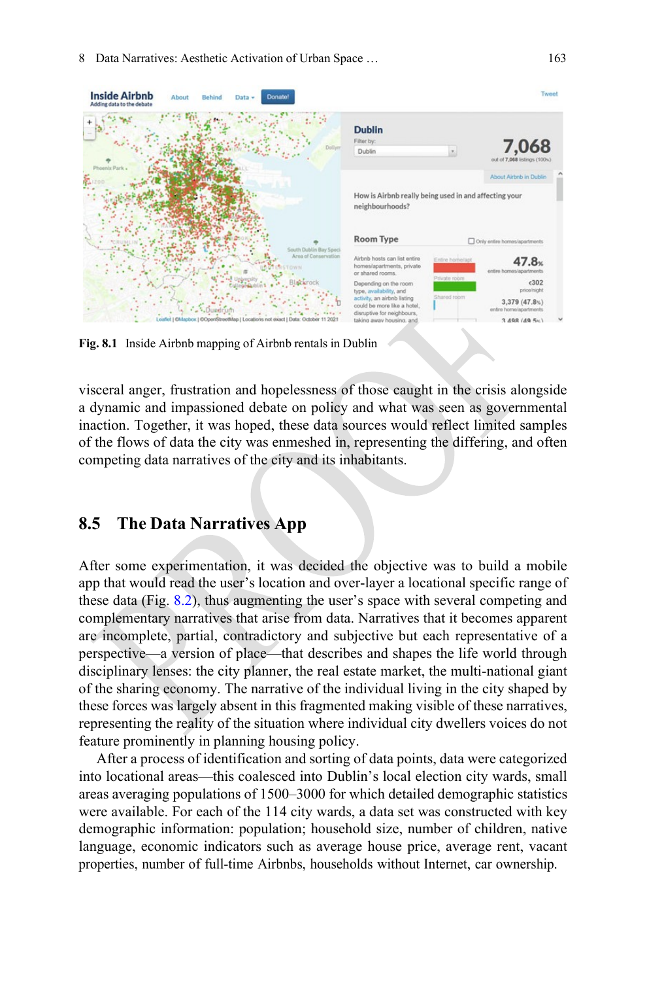

<span id="page-7-0"></span>**Fig. 8.1** Inside Airbnb mapping of Airbnb rentals in Dublin

visceral anger, frustration and hopelessness of those caught in the crisis alongside a dynamic and impassioned debate on policy and what was seen as governmental inaction. Together, it was hoped, these data sources would reflect limited samples of the flows of data the city was enmeshed in, representing the differing, and often competing data narratives of the city and its inhabitants.

## **8.5 The Data Narratives App**

After some experimentation, it was decided the objective was to build a mobile app that would read the user's location and over-layer a locational specific range of these data (Fig. [8.2\)](#page-8-0), thus augmenting the user's space with several competing and complementary narratives that arise from data. Narratives that it becomes apparent are incomplete, partial, contradictory and subjective but each representative of a perspective—a version of place—that describes and shapes the life world through disciplinary lenses: the city planner, the real estate market, the multi-national giant of the sharing economy. The narrative of the individual living in the city shaped by these forces was largely absent in this fragmented making visible of these narratives, representing the reality of the situation where individual city dwellers voices do not feature prominently in planning housing policy.

After a process of identification and sorting of data points, data were categorized into locational areas—this coalesced into Dublin's local election city wards, small areas averaging populations of 1500–3000 for which detailed demographic statistics were available. For each of the 114 city wards, a data set was constructed with key demographic information: population; household size, number of children, native language, economic indicators such as average house price, average rent, vacant properties, number of full-time Airbnbs, households without Internet, car ownership.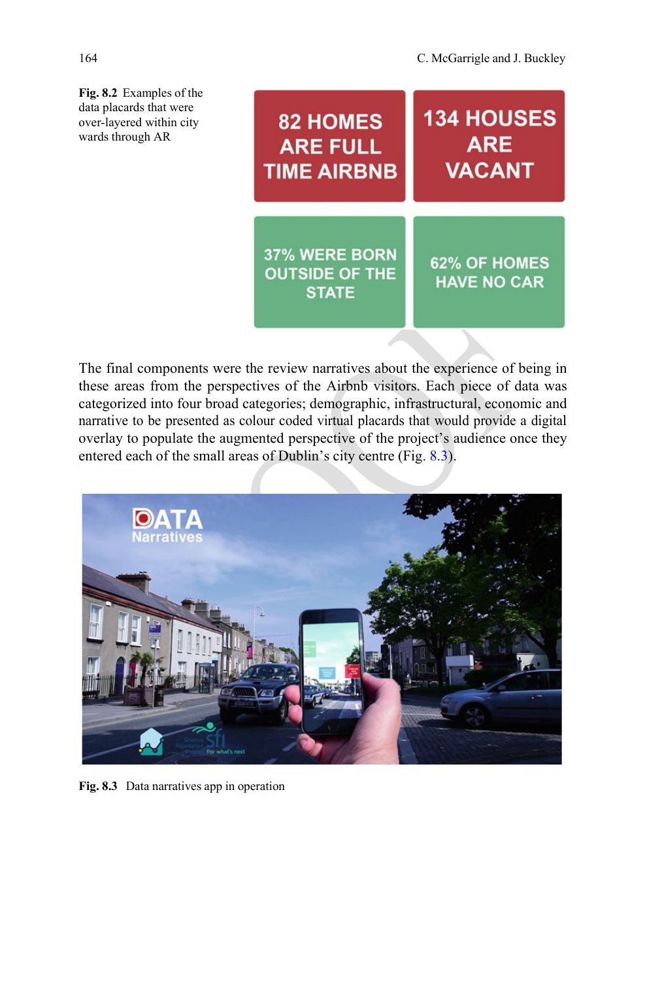<span id="page-8-0"></span>**Fig. 8.2** Examples of the data placards that were over-layered within city wards through AR

| <b>82 HOMES</b>                                        | <b>134 HOUSES</b>                         |
|--------------------------------------------------------|-------------------------------------------|
| <b>ARE FULL</b>                                        | <b>ARE</b>                                |
| <b>TIME AIRBNB</b>                                     | <b>VACANT</b>                             |
| 37% WERE BORN<br><b>OUTSIDE OF THE</b><br><b>STATE</b> | <b>62% OF HOMES</b><br><b>HAVE NO CAR</b> |

The final components were the review narratives about the experience of being in these areas from the perspectives of the Airbnb visitors. Each piece of data was categorized into four broad categories; demographic, infrastructural, economic and narrative to be presented as colour coded virtual placards that would provide a digital overlay to populate the augmented perspective of the project's audience once they entered each of the small areas of Dublin's city centre (Fig. [8.3\)](#page-8-1).

<span id="page-8-1"></span>

**Fig. 8.3** Data narratives app in operation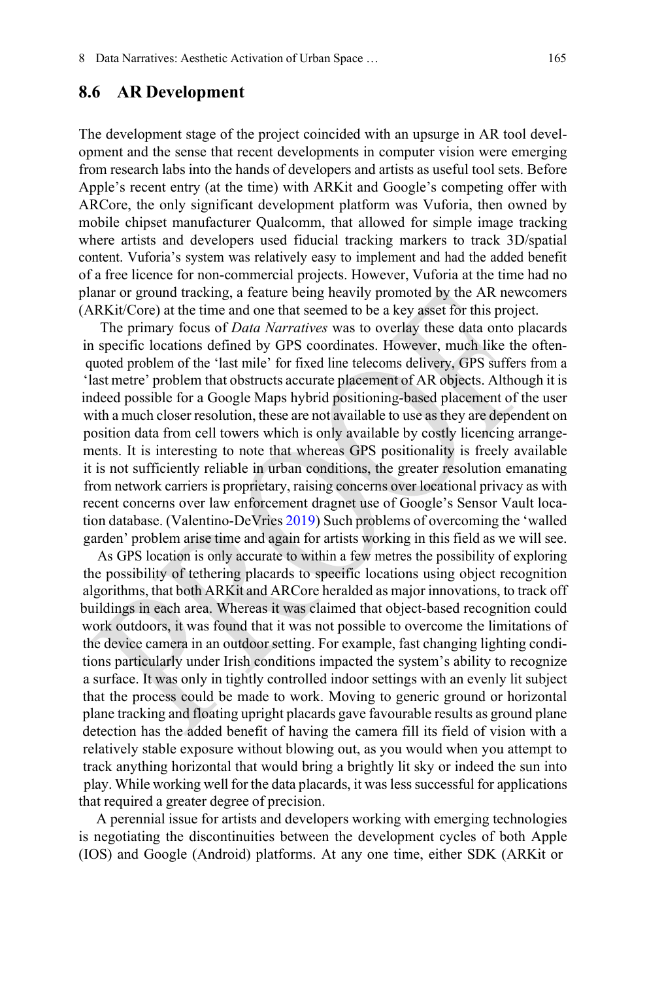#### **8.6 AR Development**

The development stage of the project coincided with an upsurge in AR tool development and the sense that recent developments in computer vision were emerging from research labs into the hands of developers and artists as useful tool sets. Before Apple's recent entry (at the time) with ARKit and Google's competing offer with ARCore, the only significant development platform was Vuforia, then owned by mobile chipset manufacturer Qualcomm, that allowed for simple image tracking where artists and developers used fiducial tracking markers to track 3D/spatial content. Vuforia's system was relatively easy to implement and had the added benefit of a free licence for non-commercial projects. However, Vuforia at the time had no planar or ground tracking, a feature being heavily promoted by the AR newcomers (ARKit/Core) at the time and one that seemed to be a key asset for this project.

The primary focus of *Data Narratives* was to overlay these data onto placards in specific locations defined by GPS coordinates. However, much like the oftenquoted problem of the 'last mile' for fixed line telecoms delivery, GPS suffers from a 'last metre' problem that obstructs accurate placement of AR objects. Although it is indeed possible for a Google Maps hybrid positioning-based placement of the user with a much closer resolution, these are not available to use asthey are dependent on position data from cell towers which is only available by costly licencing arrangements. It is interesting to note that whereas GPS positionality is freely available it is not sufficiently reliable in urban conditions, the greater resolution emanating from network carriers is proprietary, raising concerns over locational privacy as with recent concerns over law enforcement dragnet use of Google's Sensor Vault location database. (Valentino-DeVries [2019\)](#page-14-13) Such problems of overcoming the 'walled garden' problem arise time and again for artists working in this field as we will see.

As GPS location is only accurate to within a few metres the possibility of exploring the possibility of tethering placards to specific locations using object recognition algorithms, that both ARKit and ARCore heralded as major innovations, to track off buildings in each area. Whereas it was claimed that object-based recognition could work outdoors, it was found that it was not possible to overcome the limitations of the device camera in an outdoor setting. For example, fast changing lighting conditions particularly under Irish conditions impacted the system's ability to recognize a surface. It was only in tightly controlled indoor settings with an evenly lit subject that the process could be made to work. Moving to generic ground or horizontal plane tracking and floating upright placards gave favourable results as ground plane detection has the added benefit of having the camera fill its field of vision with a relatively stable exposure without blowing out, as you would when you attempt to track anything horizontal that would bring a brightly lit sky or indeed the sun into play. While working well for the data placards, it was less successful for applications that required a greater degree of precision.

A perennial issue for artists and developers working with emerging technologies is negotiating the discontinuities between the development cycles of both Apple (IOS) and Google (Android) platforms. At any one time, either SDK (ARKit or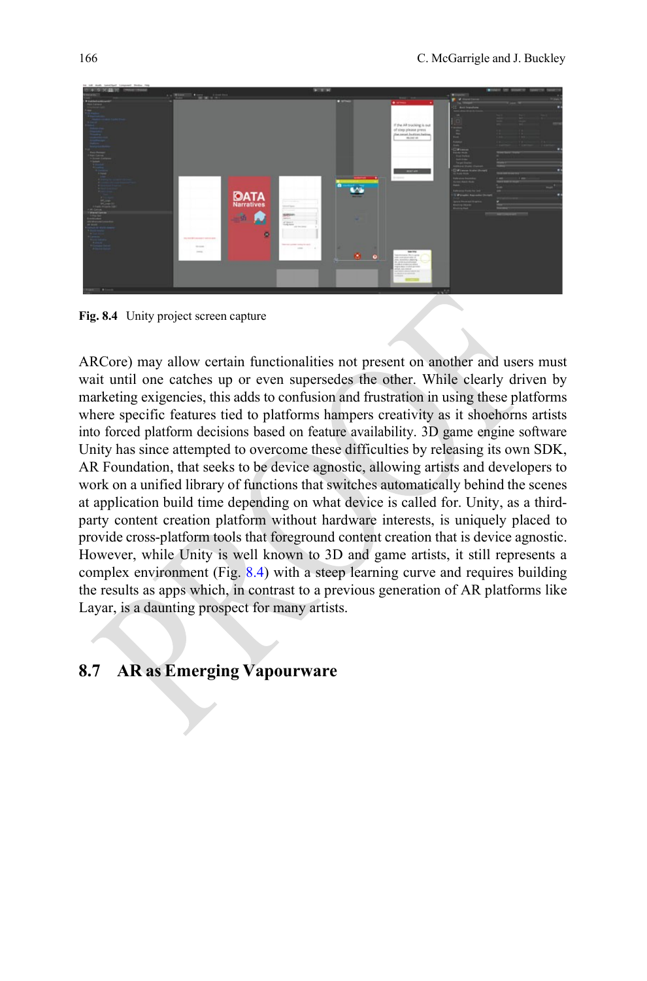

**Fig. 8.4** Unity project screen capture

<span id="page-10-0"></span>ARCore) may allow certain functionalities not present on another and users must wait until one catches up or even supersedes the other. While clearly driven by marketing exigencies, this adds to confusion and frustration in using these platforms where specific features tied to platforms hampers creativity as it shoehorns artists into forced platform decisions based on feature availability. 3D game engine software Unity has since attempted to overcome these difficulties by releasing its own SDK, AR Foundation, that seeks to be device agnostic, allowing artists and developers to work on a unified library of functions that switches automatically behind the scenes at application build time depending on what device is called for. Unity, as a thirdparty content creation platform without hardware interests, is uniquely placed to provide cross-platform tools that foreground content creation that is device agnostic. However, while Unity is well known to 3D and game artists, it still represents a complex environment (Fig. [8.4\)](#page-10-0) with a steep learning curve and requires building the results as apps which, in contrast to a previous generation of AR platforms like Layar, is a daunting prospect for many artists.

### **8.7 AR as Emerging Vapourware**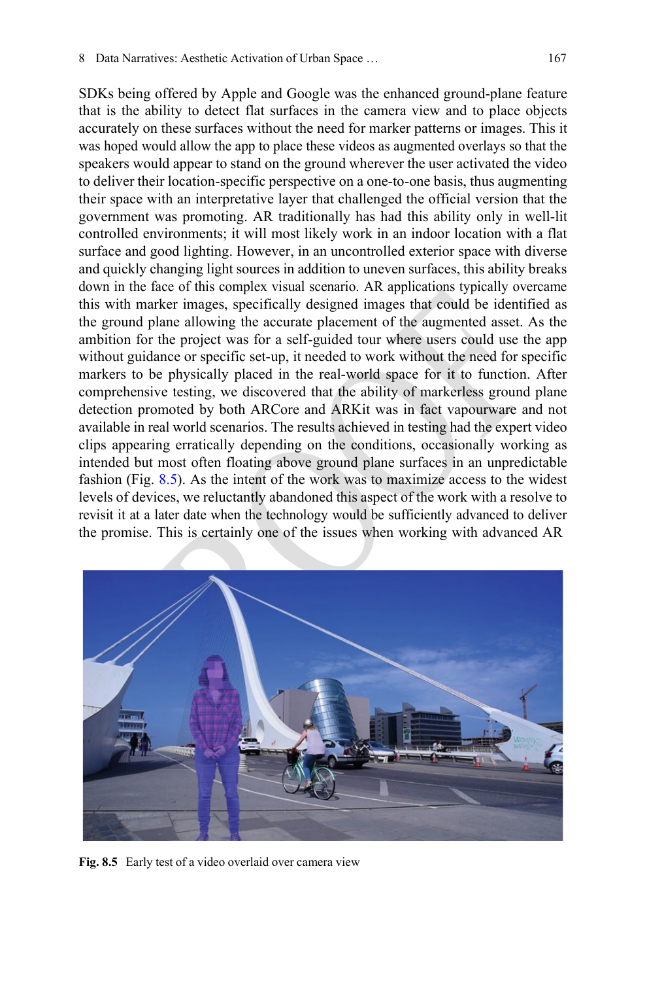SDKs being offered by Apple and Google was the enhanced ground-plane feature that is the ability to detect flat surfaces in the camera view and to place objects accurately on these surfaces without the need for marker patterns or images. This it was hoped would allow the app to place these videos as augmented overlays so that the speakers would appear to stand on the ground wherever the user activated the video to deliver their location-specific perspective on a one-to-one basis, thus augmenting their space with an interpretative layer that challenged the official version that the government was promoting. AR traditionally has had this ability only in well-lit controlled environments; it will most likely work in an indoor location with a flat surface and good lighting. However, in an uncontrolled exterior space with diverse and quickly changing light sources in addition to uneven surfaces, this ability breaks down in the face of this complex visual scenario. AR applications typically overcame this with marker images, specifically designed images that could be identified as the ground plane allowing the accurate placement of the augmented asset. As the ambition for the project was for a self-guided tour where users could use the app without guidance or specific set-up, it needed to work without the need for specific markers to be physically placed in the real-world space for it to function. After comprehensive testing, we discovered that the ability of markerless ground plane detection promoted by both ARCore and ARKit was in fact vapourware and not available in real world scenarios. The results achieved in testing had the expert video clips appearing erratically depending on the conditions, occasionally working as intended but most often floating above ground plane surfaces in an unpredictable fashion (Fig. [8.5\)](#page-11-0). As the intent of the work was to maximize access to the widest levels of devices, we reluctantly abandoned this aspect of the work with a resolve to revisit it at a later date when the technology would be sufficiently advanced to deliver the promise. This is certainly one of the issues when working with advanced AR

<span id="page-11-0"></span>

**Fig. 8.5** Early test of a video overlaid over camera view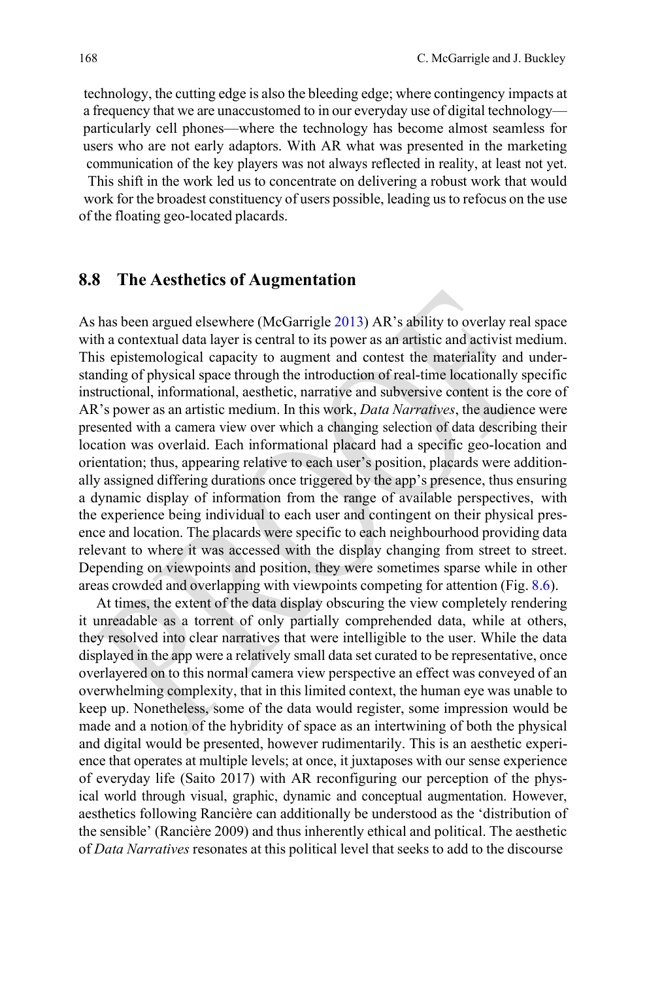technology, the cutting edge is also the bleeding edge; where contingency impacts at a frequency that we are unaccustomed to in our everyday use of digital technology particularly cell phones—where the technology has become almost seamless for users who are not early adaptors. With AR what was presented in the marketing communication of the key players was not always reflected in reality, at least not yet. This shift in the work led us to concentrate on delivering a robust work that would work for the broadest constituency of users possible, leading usto refocus on the use of the floating geo-located placards.

#### **8.8 The Aesthetics of Augmentation**

As has been argued elsewhere (McGarrigle [2013\)](#page-14-14) AR's ability to overlay real space with a contextual data layer is central to its power as an artistic and activist medium. This epistemological capacity to augment and contest the materiality and understanding of physical space through the introduction of real-time locationally specific instructional, informational, aesthetic, narrative and subversive content is the core of AR's power as an artistic medium. In this work, *Data Narratives*, the audience were presented with a camera view over which a changing selection of data describing their location was overlaid. Each informational placard had a specific geo-location and orientation; thus, appearing relative to each user's position, placards were additionally assigned differing durations once triggered by the app's presence, thus ensuring a dynamic display of information from the range of available perspectives, with the experience being individual to each user and contingent on their physical presence and location. The placards were specific to each neighbourhood providing data relevant to where it was accessed with the display changing from street to street. Depending on viewpoints and position, they were sometimes sparse while in other areas crowded and overlapping with viewpoints competing for attention (Fig. [8.6\)](#page-13-0).

At times, the extent of the data display obscuring the view completely rendering it unreadable as a torrent of only partially comprehended data, while at others, they resolved into clear narratives that were intelligible to the user. While the data displayed in the app were a relatively small data set curated to be representative, once overlayered on to this normal camera view perspective an effect was conveyed of an overwhelming complexity, that in this limited context, the human eye was unable to keep up. Nonetheless, some of the data would register, some impression would be made and a notion of the hybridity of space as an intertwining of both the physical and digital would be presented, however rudimentarily. This is an aesthetic experience that operates at multiple levels; at once, it juxtaposes with our sense experience of everyday life (Saito 2017) with AR reconfiguring our perception of the physical world through visual, graphic, dynamic and conceptual augmentation. However, aesthetics following Rancière can additionally be understood as the 'distribution of the sensible' (Rancière 2009) and thus inherently ethical and political. The aesthetic of *Data Narratives* resonates at this political level that seeks to add to the discourse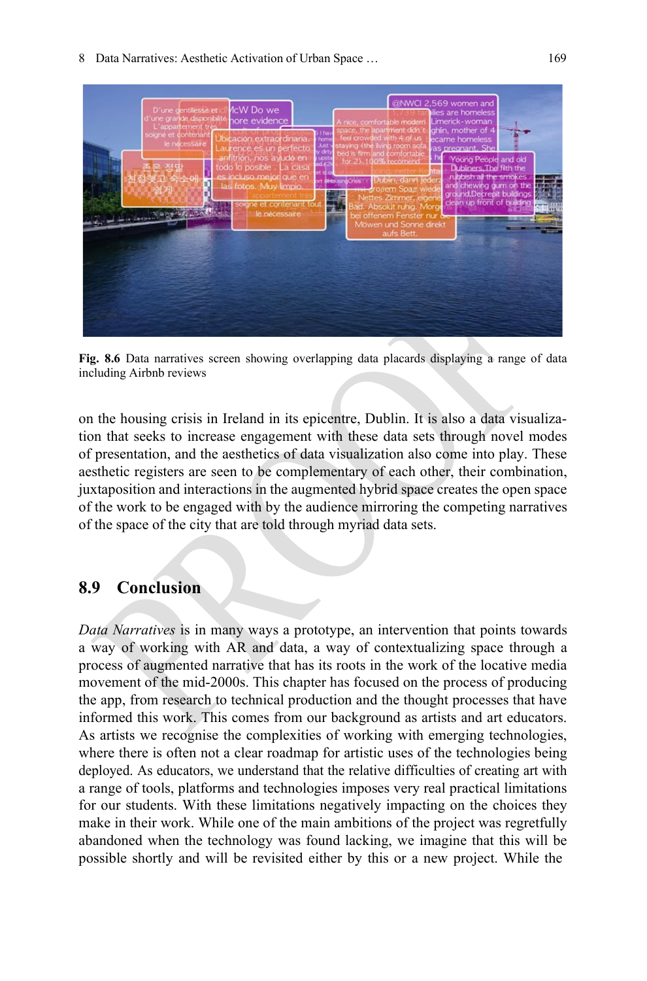

<span id="page-13-0"></span>**Fig. 8.6** Data narratives screen showing overlapping data placards displaying a range of data including Airbnb reviews

on the housing crisis in Ireland in its epicentre, Dublin. It is also a data visualization that seeks to increase engagement with these data sets through novel modes of presentation, and the aesthetics of data visualization also come into play. These aesthetic registers are seen to be complementary of each other, their combination, juxtaposition and interactions in the augmented hybrid space creates the open space of the work to be engaged with by the audience mirroring the competing narratives of the space of the city that are told through myriad data sets.

# **8.9 Conclusion**

*Data Narratives* is in many ways a prototype, an intervention that points towards a way of working with AR and data, a way of contextualizing space through a process of augmented narrative that has its roots in the work of the locative media movement of the mid-2000s. This chapter has focused on the process of producing the app, from research to technical production and the thought processes that have informed this work. This comes from our background as artists and art educators. As artists we recognise the complexities of working with emerging technologies, where there is often not a clear roadmap for artistic uses of the technologies being deployed. As educators, we understand that the relative difficulties of creating art with a range of tools, platforms and technologies imposes very real practical limitations for our students. With these limitations negatively impacting on the choices they make in their work. While one of the main ambitions of the project was regretfully abandoned when the technology was found lacking, we imagine that this will be possible shortly and will be revisited either by this or a new project. While the